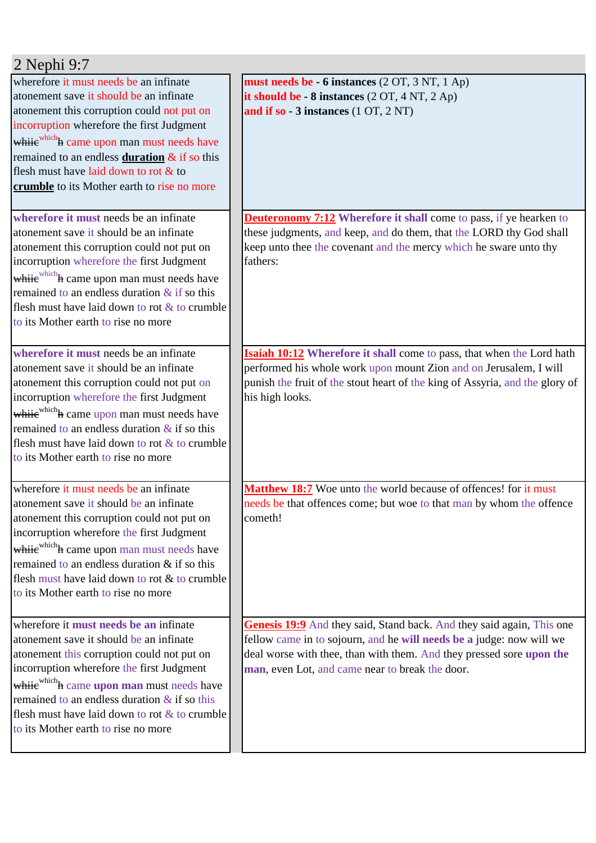| 2 Nephi 9:7                                                                                                                                                                                                                                                                                                                                                                           |                                                                                                                                                                                                                                                                          |
|---------------------------------------------------------------------------------------------------------------------------------------------------------------------------------------------------------------------------------------------------------------------------------------------------------------------------------------------------------------------------------------|--------------------------------------------------------------------------------------------------------------------------------------------------------------------------------------------------------------------------------------------------------------------------|
| wherefore it must needs be an infinate<br>atonement save it should be an infinate<br>atonement this corruption could not put on<br>incorruption wherefore the first Judgment<br>whije <sup>which</sup> h came upon man must needs have<br>remained to an endless <b>duration</b> & if so this<br>flesh must have laid down to rot & to<br>crumble to its Mother earth to rise no more | must needs be - 6 instances (2 OT, 3 NT, 1 Ap)<br>it should be $-8$ instances $(2 OT, 4 NT, 2 Ap)$<br>and if so $-3$ instances $(1 OT, 2 NT)$                                                                                                                            |
| wherefore it must needs be an infinate<br>atonement save it should be an infinate<br>atonement this corruption could not put on<br>incorruption wherefore the first Judgment<br>whiie <sup>which</sup> h came upon man must needs have<br>remained to an endless duration $&$ if so this<br>flesh must have laid down to rot & to crumble<br>to its Mother earth to rise no more      | <b>Deuteronomy 7:12</b> Wherefore it shall come to pass, if ye hearken to<br>these judgments, and keep, and do them, that the LORD thy God shall<br>keep unto thee the covenant and the mercy which he sware unto thy<br>fathers:                                        |
| wherefore it must needs be an infinate<br>atonement save it should be an infinate<br>atonement this corruption could not put on<br>incorruption wherefore the first Judgment<br>whiie <sup>which</sup> h came upon man must needs have<br>remained to an endless duration $\&$ if so this<br>flesh must have laid down to rot & to crumble<br>to its Mother earth to rise no more     | <b>Isaiah 10:12</b> Wherefore it shall come to pass, that when the Lord hath<br>performed his whole work upon mount Zion and on Jerusalem, I will<br>punish the fruit of the stout heart of the king of Assyria, and the glory of<br>his high looks.                     |
| wherefore it must needs be an infinate<br>latonement save it should be an infinate<br>atonement this corruption could not put on<br>incorruption wherefore the first Judgment<br>while which h came upon man must needs have<br>remained to an endless duration & if so this<br>flesh must have laid down to rot & to crumble<br>to its Mother earth to rise no more                  | Matthew 18:7 Woe unto the world because of offences! for it must<br>needs be that offences come; but woe to that man by whom the offence<br>cometh!                                                                                                                      |
| wherefore it must needs be an infinate<br>atonement save it should be an infinate<br>atonement this corruption could not put on<br>incorruption wherefore the first Judgment<br>whiie <sup>which</sup> h came upon man must needs have<br>remained to an endless duration $\&$ if so this<br>flesh must have laid down to rot & to crumble<br>to its Mother earth to rise no more     | Genesis 19:9 And they said, Stand back. And they said again, This one<br>fellow came in to sojourn, and he will needs be a judge: now will we<br>deal worse with thee, than with them. And they pressed sore upon the<br>man, even Lot, and came near to break the door. |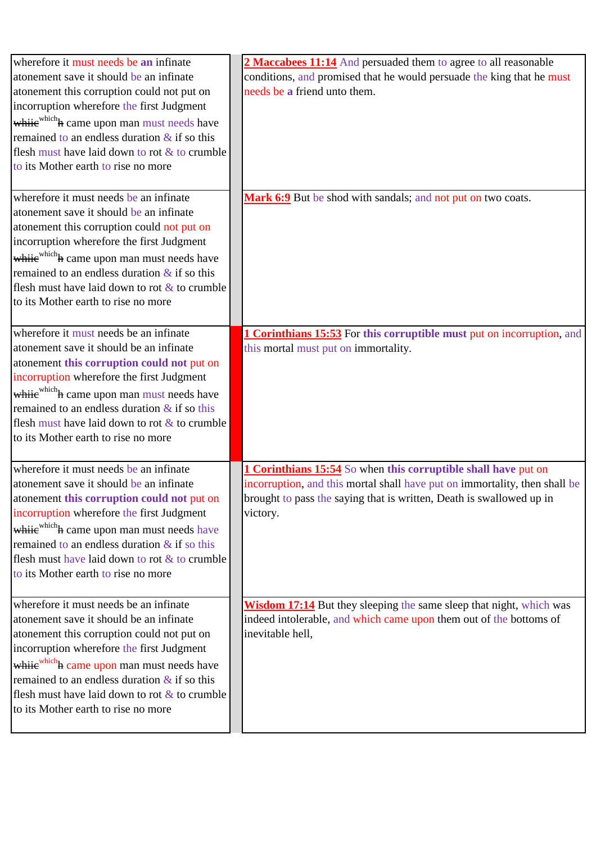| wherefore it must needs be an infinate                 | 2 Maccabees 11:14 And persuaded them to agree to all reasonable               |
|--------------------------------------------------------|-------------------------------------------------------------------------------|
| atonement save it should be an infinate                | conditions, and promised that he would persuade the king that he must         |
| atonement this corruption could not put on             | needs be a friend unto them.                                                  |
| incorruption wherefore the first Judgment              |                                                                               |
| whiie <sup>which</sup> h came upon man must needs have |                                                                               |
| remained to an endless duration $\&$ if so this        |                                                                               |
| flesh must have laid down to rot & to crumble          |                                                                               |
| to its Mother earth to rise no more                    |                                                                               |
|                                                        |                                                                               |
| wherefore it must needs be an infinate                 | Mark 6:9 But be shod with sandals; and not put on two coats.                  |
| atonement save it should be an infinate                |                                                                               |
| atonement this corruption could not put on             |                                                                               |
| incorruption wherefore the first Judgment              |                                                                               |
| whiie <sup>which</sup> h came upon man must needs have |                                                                               |
| remained to an endless duration $\&$ if so this        |                                                                               |
| flesh must have laid down to rot $\&$ to crumble       |                                                                               |
| to its Mother earth to rise no more                    |                                                                               |
|                                                        |                                                                               |
| wherefore it must needs be an infinate                 | <b>1 Corinthians 15:53</b> For this corruptible must put on incorruption, and |
| atonement save it should be an infinate                | this mortal must put on immortality.                                          |
| atonement this corruption could not put on             |                                                                               |
| incorruption wherefore the first Judgment              |                                                                               |
| whije <sup>which</sup> h came upon man must needs have |                                                                               |
| remained to an endless duration $\&$ if so this        |                                                                               |
| flesh must have laid down to rot & to crumble          |                                                                               |
| to its Mother earth to rise no more                    |                                                                               |
|                                                        |                                                                               |
| wherefore it must needs be an infinate                 | 1 Corinthians 15:54 So when this corruptible shall have put on                |
| atonement save it should be an infinate                | incorruption, and this mortal shall have put on immortality, then shall be    |
| atonement this corruption could not put on             | brought to pass the saying that is written, Death is swallowed up in          |
| incorruption wherefore the first Judgment              | victory.                                                                      |
| whiie <sup>which</sup> h came upon man must needs have |                                                                               |
| remained to an endless duration $&$ if so this         |                                                                               |
| flesh must have laid down to rot $&$ to crumble        |                                                                               |
| to its Mother earth to rise no more                    |                                                                               |
|                                                        |                                                                               |
| wherefore it must needs be an infinate                 | Wisdom 17:14 But they sleeping the same sleep that night, which was           |
| atonement save it should be an infinate                | indeed intolerable, and which came upon them out of the bottoms of            |
| atonement this corruption could not put on             | inevitable hell,                                                              |
| incorruption wherefore the first Judgment              |                                                                               |
| whije which h came upon man must needs have            |                                                                               |
| remained to an endless duration $\&$ if so this        |                                                                               |
| flesh must have laid down to rot $\&$ to crumble       |                                                                               |
| to its Mother earth to rise no more                    |                                                                               |
|                                                        |                                                                               |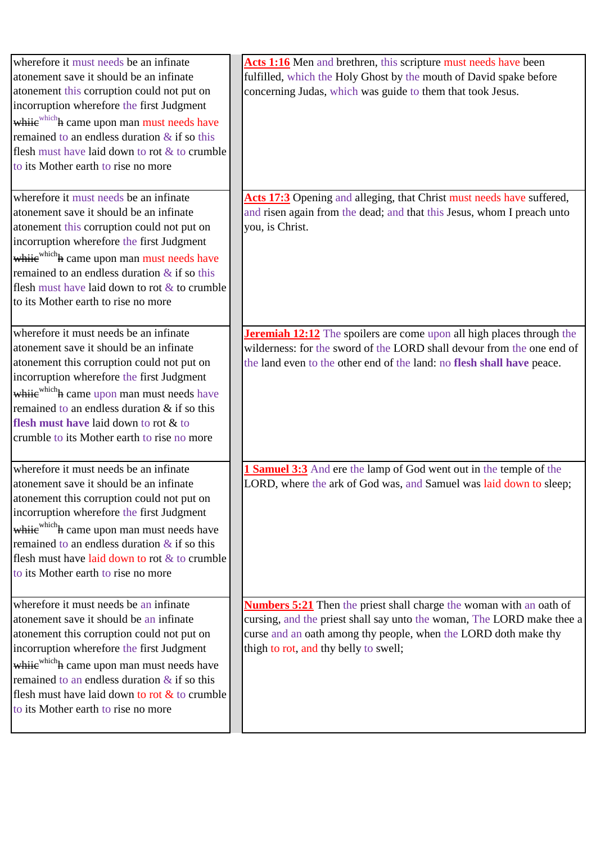| wherefore it must needs be an infinate<br>atonement save it should be an infinate<br>atonement this corruption could not put on<br>incorruption wherefore the first Judgment<br>whiie <sup>which</sup> h came upon man must needs have<br>remained to an endless duration $\&$ if so this<br>flesh must have laid down to rot & to crumble<br>to its Mother earth to rise no more    | Acts 1:16 Men and brethren, this scripture must needs have been<br>fulfilled, which the Holy Ghost by the mouth of David spake before<br>concerning Judas, which was guide to them that took Jesus.                                                              |
|--------------------------------------------------------------------------------------------------------------------------------------------------------------------------------------------------------------------------------------------------------------------------------------------------------------------------------------------------------------------------------------|------------------------------------------------------------------------------------------------------------------------------------------------------------------------------------------------------------------------------------------------------------------|
| wherefore it must needs be an infinate<br>atonement save it should be an infinate<br>atonement this corruption could not put on<br>incorruption wherefore the first Judgment<br>whije <sup>which</sup> h came upon man must needs have<br>remained to an endless duration $\&$ if so this<br>flesh must have laid down to rot $\&$ to crumble<br>to its Mother earth to rise no more | Acts 17:3 Opening and alleging, that Christ must needs have suffered,<br>and risen again from the dead; and that this Jesus, whom I preach unto<br>you, is Christ.                                                                                               |
| wherefore it must needs be an infinate<br>atonement save it should be an infinate<br>atonement this corruption could not put on<br>incorruption wherefore the first Judgment<br>whije which h came upon man must needs have<br>remained to an endless duration & if so this<br>flesh must have laid down to rot & to<br>crumble to its Mother earth to rise no more                  | <b>Jeremiah 12:12</b> The spoilers are come upon all high places through the<br>wilderness: for the sword of the LORD shall devour from the one end of<br>the land even to the other end of the land: no flesh shall have peace.                                 |
| wherefore it must needs be an infinate<br>atonement save it should be an infinate<br>atonement this corruption could not put on<br>incorruption wherefore the first Judgment<br>whiie <sup>which</sup> h came upon man must needs have<br>remained to an endless duration $\&$ if so this<br>flesh must have laid down to rot & to crumble<br>to its Mother earth to rise no more    | <b>1 Samuel 3:3</b> And ere the lamp of God went out in the temple of the<br>LORD, where the ark of God was, and Samuel was laid down to sleep;                                                                                                                  |
| wherefore it must needs be an infinate<br>atonement save it should be an infinate<br>atonement this corruption could not put on<br>incorruption wherefore the first Judgment<br>whije <sup>which</sup> h came upon man must needs have<br>remained to an endless duration $\&$ if so this<br>flesh must have laid down to rot $\&$ to crumble<br>to its Mother earth to rise no more | <b>Numbers 5:21</b> Then the priest shall charge the woman with an oath of<br>cursing, and the priest shall say unto the woman, The LORD make thee a<br>curse and an oath among thy people, when the LORD doth make thy<br>thigh to rot, and thy belly to swell; |